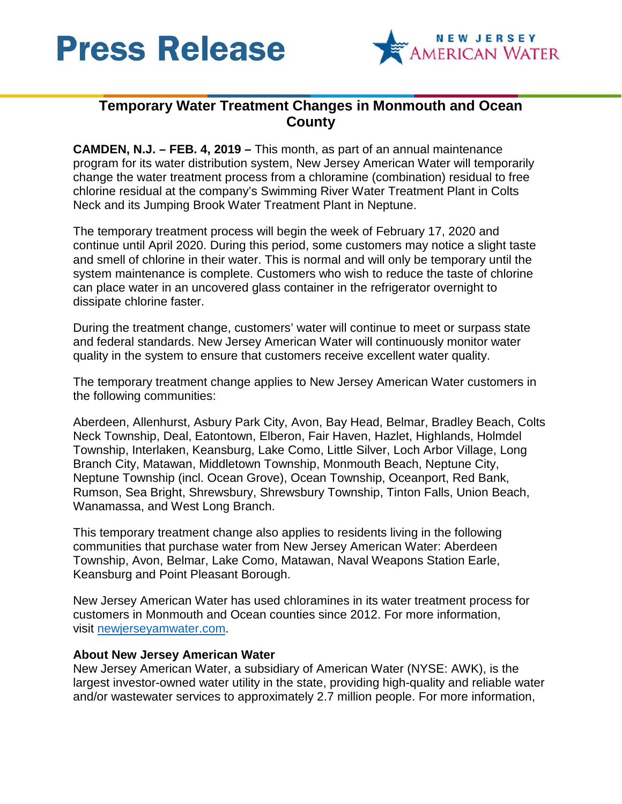



## **Temporary Water Treatment Changes in Monmouth and Ocean County**

**CAMDEN, N.J. – FEB. 4, 2019 –** This month, as part of an annual maintenance program for its water distribution system, New Jersey American Water will temporarily change the water treatment process from a chloramine (combination) residual to free chlorine residual at the company's Swimming River Water Treatment Plant in Colts Neck and its Jumping Brook Water Treatment Plant in Neptune.

The temporary treatment process will begin the week of February 17, 2020 and continue until April 2020. During this period, some customers may notice a slight taste and smell of chlorine in their water. This is normal and will only be temporary until the system maintenance is complete. Customers who wish to reduce the taste of chlorine can place water in an uncovered glass container in the refrigerator overnight to dissipate chlorine faster.

During the treatment change, customers' water will continue to meet or surpass state and federal standards. New Jersey American Water will continuously monitor water quality in the system to ensure that customers receive excellent water quality.

The temporary treatment change applies to New Jersey American Water customers in the following communities:

Aberdeen, Allenhurst, Asbury Park City, Avon, Bay Head, Belmar, Bradley Beach, Colts Neck Township, Deal, Eatontown, Elberon, Fair Haven, Hazlet, Highlands, Holmdel Township, Interlaken, Keansburg, Lake Como, Little Silver, Loch Arbor Village, Long Branch City, Matawan, Middletown Township, Monmouth Beach, Neptune City, Neptune Township (incl. Ocean Grove), Ocean Township, Oceanport, Red Bank, Rumson, Sea Bright, Shrewsbury, Shrewsbury Township, Tinton Falls, Union Beach, Wanamassa, and West Long Branch.

This temporary treatment change also applies to residents living in the following communities that purchase water from New Jersey American Water: Aberdeen Township, Avon, Belmar, Lake Como, Matawan, Naval Weapons Station Earle, Keansburg and Point Pleasant Borough.

New Jersey American Water has used chloramines in its water treatment process for customers in Monmouth and Ocean counties since 2012. For more information, visit [newjerseyamwater.com.](https://amwater.com/njaw/water-quality/chloramine)

## **About New Jersey American Water**

New Jersey American Water, a subsidiary of American Water (NYSE: AWK), is the largest investor-owned water utility in the state, providing high-quality and reliable water and/or wastewater services to approximately 2.7 million people. For more information,